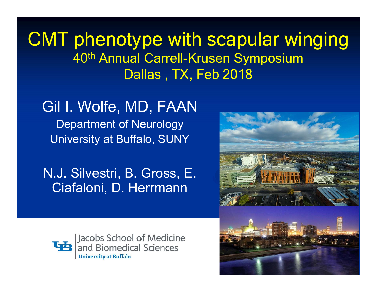CMT phenotype with scapular winging phenotype with scapular winging<br>40<sup>th</sup> Annual Carrell-Krusen Symposium<br>Dallas , TX, Feb 2018 Dallas , TX, Feb 2018

#### Gil I. Wolfe, MD, FAAN Department of Neurology

University at Buffalo, SUNY

N.J. Silvestri, B. Gross, E. Ciafaloni, D. Herrmann





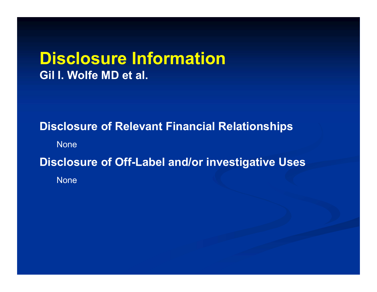#### Disclosure Information Gil I. Wolfe MD et al.

#### Disclosure of Relevant Financial Relationships

**None** 

Disclosure of Off-Label and/or investigative Uses

**None**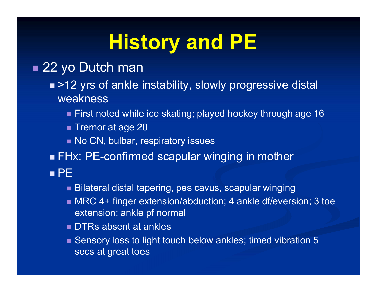#### History and PE

- **History and F**<br>22 yo Dutch man<br>22 yrs of ankle instability, slowly p<br>weakness **Fistory and PE**<br>2 yo Dutch man<br>=>12 yrs of ankle instability, slowly progressive distal<br>=>First noted while ice skating; played hockey through age 16 weakness
	- **First noted while ice skating; played hockey through age 16**
	- Tremor at age 20
	- No CN, bulbar, respiratory issues
	- **FHx: PE-confirmed scapular winging in mother**

 $P<sub>E</sub>$ 

- Bilateral distal tapering, pes cavus, scapular winging
- MRC 4+ finger extension/abduction; 4 ankle df/eversion; 3 toe extension; ankle pf normal
- **DTRs absent at ankles**
- Sensory loss to light touch below ankles; timed vibration 5 secs at great toes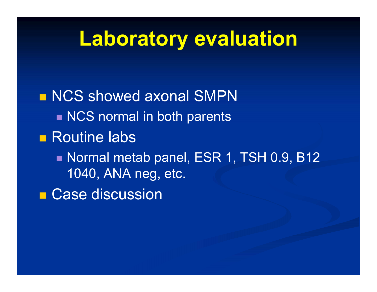#### Laboratory evaluation

**NCS showed axonal SMPN** NCS normal in both parents **Routine labs Laboratory evaluation<br>
NCS showed axonal SMPN<br>
• NCS normal in both parents<br>
Routine labs<br>
• Normal metab panel, ESR 1, TSH 0.9, B12<br>1040, ANA neg, etc.** 1040, ANA neg, etc. ■ Case discussion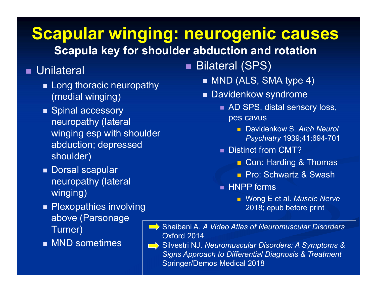### Scapular winging: neurogenic causes Scapula key for shoulder abduction and rotation **Example 18 All Scapular Winging: neurogen<br>
Scapula key for shoulder abduction are<br>
ilateral (SP<br>
Long thoracic neuropathy<br>
(medial winging) <b>a** Davidenkov<br>
Spinal accessory **a** AD SPS<br>
neuropathy (lateral pescavularion; d **Urogenic causes<br>
Davident Causes**<br>
Davidenkow syndrome<br> **Advident Causes**<br> **Advident Causes Advisors**<br>
Davidenkow syndrome<br>
Advisors cavus<br>
pes cavus **Jenic causes**<br> **S. Archarge S. Arch Neurol S. Arch Neurol Proportion**<br>
S. Arch Neurol<br>
D. S. Arch Neurol<br>
D. S. Arch Neurol<br>
Proportion S. Arch Neurol<br>
Psychiatry 1939;41:694-701<br>
S. Arch Neurol<br>
S. Arch Neurol<br>
S. Arch N

#### **Unilateral**

- Long thoracic neuropathy **CONG TENDENT INSTRUST TO LONG THE VILLE**<br>Davidenkow syndrome (medial winging) (medial winging)
- **Spinal accessory** neuropathy (lateral abduction; depressed shoulder) ■ Long thoracic neuropathy<br>
(medial winging)<br>
■ Davidenkow<br>
■ RD SPS,<br>
neuropathy (lateral<br>
winging esp with shoulder<br>
■ David<br>
abduction; depressed<br>
■ Distinct fr<br>
shoulder<br>
■ Dorsal scapular<br>
■ Dorsal scapular<br>
■ Plexop
- Dorsal scapular neuropathy (lateral winging)
- above (Parsonage Turner)
- **MND** sometimes
- **Bilateral (SPS)** 
	- **MND (ALS, SMA type 4)**
	-
- AD SPS, distal sensory loss, pes cavus 2018; Email Special Seasons, and SPS, distal sensory loss,<br>
cavus<br>
Davidenkow S. *Arch Neurol*<br>
Psychiatry 1939;41:694-701<br>
nct from CMT?<br>
Con: Harding & Thomas<br>
Pro: Schwartz & Swash<br>
P forms<br>
Wong E et al. *Muscle Nerve* 
	- Psychiatry 1939;41:694-701
		- Distinct from CMT?
			- Con: Harding & Thomas
			- **Pro: Schwartz & Swash**
		- **HNPP** forms
			- **Nong E et al. Muscle Nerve**
- Shaibani A. A Video Atlas of Neuromuscular Disorders Oxford 2014
- Silvestri NJ. Neuromuscular Disorders: A Symptoms & Signs Approach to Differential Diagnosis & Treatment Springer/Demos Medical 2018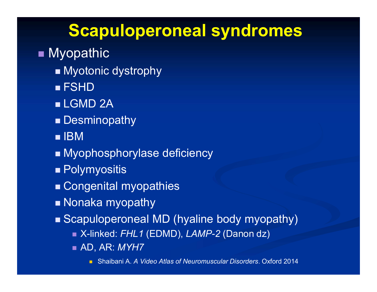# **Scapuloperoneal syndromes**<br><sub>ppathic</sub> Myopathic<br>
Myopathic<br>
■ Myotonic dystrophy<br>
■ FSHD<br>■ LGMD 2A<br>■ Desminopathy<br>■ Myophosphorylase deficiency<br>■ Polymyositis

- **Myopathic** 
	- **Myotonic dystrophy**
	- FSHD
	- LGMD<sub>2A</sub>
	- **Desminopathy**
	- $\blacksquare$  IBM
	-
	- **Polymyositis**
	- Congenital myopathies
	-
	- FSHD<br>■ LGMD 2A<br>■ Desminopathy<br>■ IBM<br>■ Myophosphorylase deficiency<br>■ Polymyositis<br>■ Congenital myopathies<br>■ Nonaka myopathy<br>■ Scapuloperoneal MD (hyaline body myo<br>■ X-linked: *FHL1 (*FDMD) *LAMP-2 (*Danon d ■ LGMD 2A<br>■ Desminopathy<br>■ IBM<br>■ Myophosphorylase deficiency<br>■ Polymyositis<br>■ Congenital myopathies<br>■ Nonaka myopathy<br>■ Scapuloperoneal MD (hyaline body myopathy)<br>■ X-linked: *FHL1* (EDMD), *LAMP-2* (Danon dz)<br>■ AD, AR: esminopathy<br>
	M<br>
	yophosphorylase deficiency<br>
	olymyositis<br>
	ongenital myopathies<br>
	onaka myopathy<br>
	capuloperoneal MD (hyaline body myopathy)<br>
	■ X-linked: *FHL1* (EDMD), *LAMP-2* (Danon dz)<br>■ AD, AR: *MYH7*<br>■ Shaibani A. A Vid
		-
		- AD, AR: MYH7
			- Shaibani A. A Video Atlas of Neuromuscular Disorders. Oxford 2014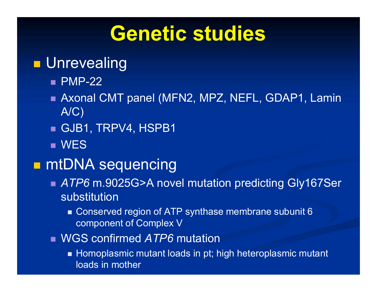#### Genetic studies

#### **Unrevealing**

- $\blacksquare$  PMP-22
- Axonal CMT panel (MFN2, MPZ, NEFL, GDAP1, Lamin A/C) ■ Unrevealing<br>
■ PMP-22<br>
■ Axonal CMT panel (MFN2, MPZ, NEFL<br>
A/C)<br>
■ GJB1, TRPV4, HSPB1<br>
■ WES<br>
■ MtDNA sequencing<br>
■ A*TP6* m.9025G>A novel mutation prec → PMP-22<br>
• Axonal CMT panel (MFN2, MPZ, NEFL, GDAP1, Lamin<br>
A/C)<br>
• GJB1, TRPV4, HSPB1<br>
• WES<br>
mtDNA sequencing<br>
• A*TP6* m.9025G>A novel mutation predicting Gly167Ser<br>
substitution<br>
• Conserved region of ATP synthase me
	- GJB1, TRPV4, HSPB1
	- **NES**

- substitution VES<br>
VES<br>
DNA sequencing<br>
TP6 m.9025G>A novel mutation predicting Gly167Ser<br>
ubstitution<br>
■ Conserved region of ATP synthase membrane subunit 6<br>
component of Complex V<br>
VGS confirmed *ATP6* mutation<br>
■ Homoplasmic mutant l
	- Conserved region of ATP synthase membrane subunit 6 component of Complex V
- **WGS confirmed ATP6 mutation** 
	- loads in mother